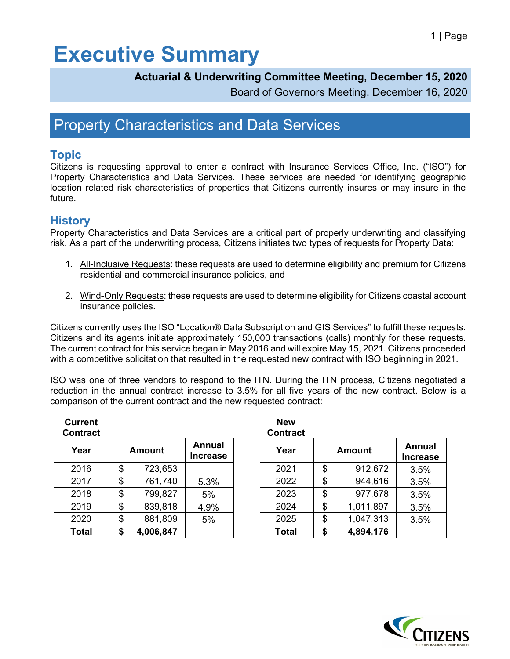# **Executive Summary**

#### **Actuarial & Underwriting Committee Meeting, December 15, 2020**

Board of Governors Meeting, December 16, 2020

### Property Characteristics and Data Services

#### **Topic**

Citizens is requesting approval to enter a contract with Insurance Services Office, Inc. ("ISO") for Property Characteristics and Data Services. These services are needed for identifying geographic location related risk characteristics of properties that Citizens currently insures or may insure in the future.

#### **History**

Property Characteristics and Data Services are a critical part of properly underwriting and classifying risk. As a part of the underwriting process, Citizens initiates two types of requests for Property Data:

- 1. All-Inclusive Requests: these requests are used to determine eligibility and premium for Citizens residential and commercial insurance policies, and
- 2. Wind-Only Requests: these requests are used to determine eligibility for Citizens coastal account insurance policies.

Citizens currently uses the ISO "Location® Data Subscription and GIS Services" to fulfill these requests. Citizens and its agents initiate approximately 150,000 transactions (calls) monthly for these requests. The current contract for this service began in May 2016 and will expire May 15, 2021. Citizens proceeded with a competitive solicitation that resulted in the requested new contract with ISO beginning in 2021.

ISO was one of three vendors to respond to the ITN. During the ITN process, Citizens negotiated a reduction in the annual contract increase to 3.5% for all five years of the new contract. Below is a comparison of the current contract and the new requested contract:

| <b>Current</b><br><b>Contract</b> |                 |                           | <b>New</b><br><b>Contract</b> |                 |                           |
|-----------------------------------|-----------------|---------------------------|-------------------------------|-----------------|---------------------------|
| Year                              | <b>Amount</b>   | Annual<br><b>Increase</b> | Year                          | <b>Amount</b>   | Annual<br><b>Increase</b> |
| 2016                              | \$<br>723,653   |                           | 2021                          | \$<br>912,672   | 3.5%                      |
| 2017                              | \$<br>761,740   | 5.3%                      | 2022                          | \$<br>944,616   | 3.5%                      |
| 2018                              | \$<br>799,827   | 5%                        | 2023                          | \$<br>977,678   | 3.5%                      |
| 2019                              | \$<br>839,818   | 4.9%                      | 2024                          | \$<br>1,011,897 | 3.5%                      |
| 2020                              | \$<br>881,809   | 5%                        | 2025                          | \$<br>1,047,313 | 3.5%                      |
| <b>Total</b>                      | \$<br>4,006,847 |                           | <b>Total</b>                  | \$<br>4,894,176 |                           |

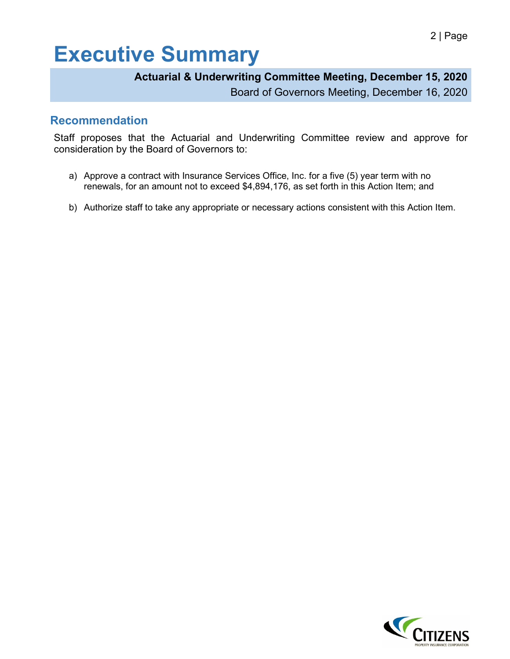# **Executive Summary**

#### **Actuarial & Underwriting Committee Meeting, December 15, 2020**

Board of Governors Meeting, December 16, 2020

#### **Recommendation**

Staff proposes that the Actuarial and Underwriting Committee review and approve for consideration by the Board of Governors to:

- a) Approve a contract with Insurance Services Office, Inc. for a five (5) year term with no renewals, for an amount not to exceed \$4,894,176, as set forth in this Action Item; and
- b) Authorize staff to take any appropriate or necessary actions consistent with this Action Item.

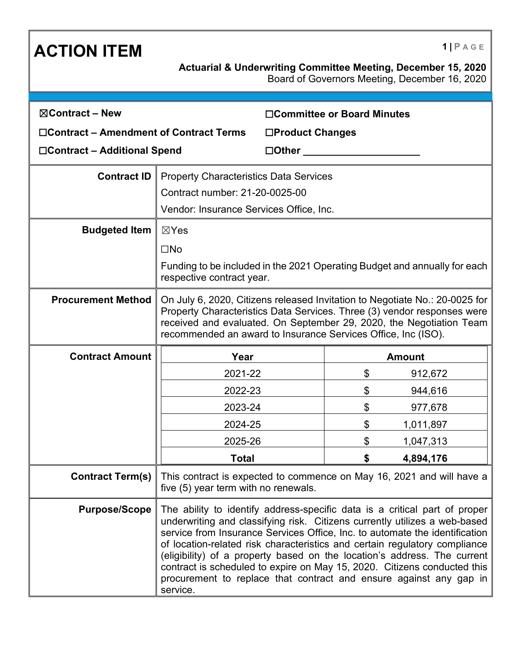### **ACTION ITEM 1 PAGE**

Board of Governors Meeting, December 16, 2020

| $\boxtimes$ Contract – New              |                                                                                                                                                                                                                                                                                                                                                                                                                                                                                                                                                                 | □Committee or Board Minutes |         |  |  |
|-----------------------------------------|-----------------------------------------------------------------------------------------------------------------------------------------------------------------------------------------------------------------------------------------------------------------------------------------------------------------------------------------------------------------------------------------------------------------------------------------------------------------------------------------------------------------------------------------------------------------|-----------------------------|---------|--|--|
| □Contract – Amendment of Contract Terms |                                                                                                                                                                                                                                                                                                                                                                                                                                                                                                                                                                 | □Product Changes            |         |  |  |
| □Contract - Additional Spend            | $\Box$ Other                                                                                                                                                                                                                                                                                                                                                                                                                                                                                                                                                    |                             |         |  |  |
| <b>Contract ID</b>                      | <b>Property Characteristics Data Services</b>                                                                                                                                                                                                                                                                                                                                                                                                                                                                                                                   |                             |         |  |  |
|                                         | Contract number: 21-20-0025-00                                                                                                                                                                                                                                                                                                                                                                                                                                                                                                                                  |                             |         |  |  |
|                                         | Vendor: Insurance Services Office, Inc.                                                                                                                                                                                                                                                                                                                                                                                                                                                                                                                         |                             |         |  |  |
| <b>Budgeted Item</b>                    | $\boxtimes$ Yes                                                                                                                                                                                                                                                                                                                                                                                                                                                                                                                                                 |                             |         |  |  |
|                                         | $\square$ No                                                                                                                                                                                                                                                                                                                                                                                                                                                                                                                                                    |                             |         |  |  |
|                                         | Funding to be included in the 2021 Operating Budget and annually for each<br>respective contract year.                                                                                                                                                                                                                                                                                                                                                                                                                                                          |                             |         |  |  |
| <b>Procurement Method</b>               | On July 6, 2020, Citizens released Invitation to Negotiate No.: 20-0025 for<br>Property Characteristics Data Services. Three (3) vendor responses were<br>received and evaluated. On September 29, 2020, the Negotiation Team<br>recommended an award to Insurance Services Office, Inc (ISO).                                                                                                                                                                                                                                                                  |                             |         |  |  |
| <b>Contract Amount</b>                  | Year                                                                                                                                                                                                                                                                                                                                                                                                                                                                                                                                                            | <b>Amount</b>               |         |  |  |
|                                         | 2021-22                                                                                                                                                                                                                                                                                                                                                                                                                                                                                                                                                         | \$                          | 912,672 |  |  |
|                                         | 2022-23                                                                                                                                                                                                                                                                                                                                                                                                                                                                                                                                                         | \$                          | 944,616 |  |  |
|                                         | 2023-24                                                                                                                                                                                                                                                                                                                                                                                                                                                                                                                                                         | \$                          | 977,678 |  |  |
|                                         | 2024-25                                                                                                                                                                                                                                                                                                                                                                                                                                                                                                                                                         | \$<br>1,011,897             |         |  |  |
|                                         | 2025-26                                                                                                                                                                                                                                                                                                                                                                                                                                                                                                                                                         | \$<br>1,047,313             |         |  |  |
|                                         | <b>Total</b>                                                                                                                                                                                                                                                                                                                                                                                                                                                                                                                                                    | \$<br>4,894,176             |         |  |  |
|                                         | <b>Contract Term(s)</b> This contract is expected to commence on May 16, 2021 and will have a<br>five (5) year term with no renewals.                                                                                                                                                                                                                                                                                                                                                                                                                           |                             |         |  |  |
| <b>Purpose/Scope</b>                    | The ability to identify address-specific data is a critical part of proper<br>underwriting and classifying risk. Citizens currently utilizes a web-based<br>service from Insurance Services Office, Inc. to automate the identification<br>of location-related risk characteristics and certain regulatory compliance<br>(eligibility) of a property based on the location's address. The current<br>contract is scheduled to expire on May 15, 2020. Citizens conducted this<br>procurement to replace that contract and ensure against any gap in<br>service. |                             |         |  |  |